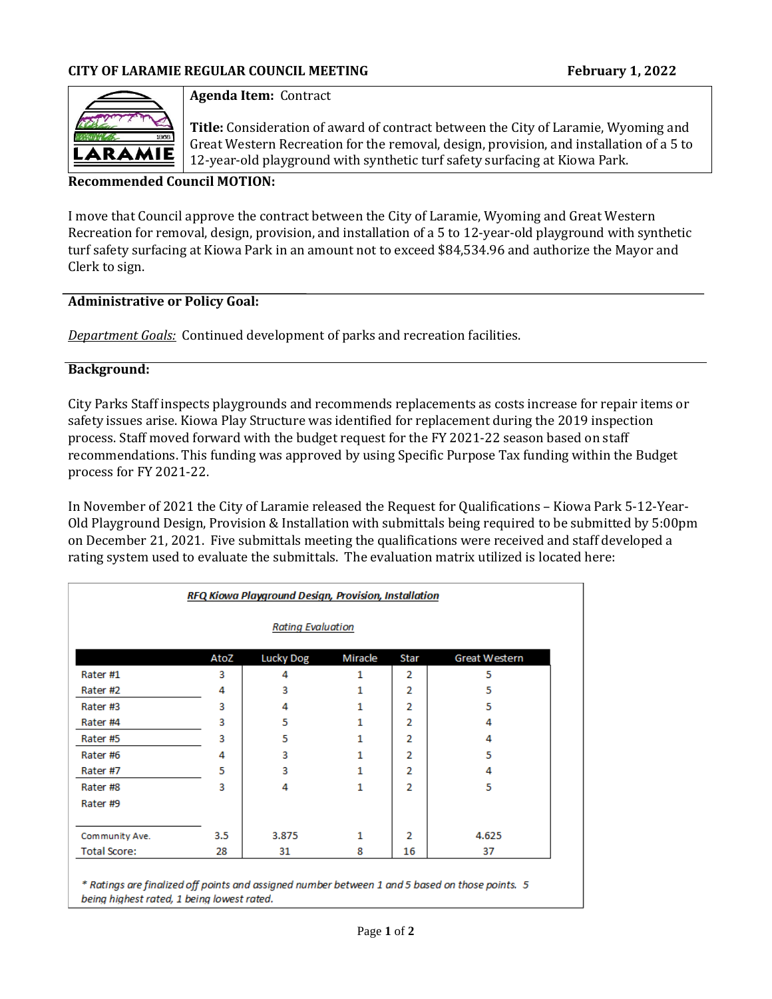

## **Agenda Item:** Contract

**Title:** Consideration of award of contract between the City of Laramie, Wyoming and Great Western Recreation for the removal, design, provision, and installation of a 5 to 12-year-old playground with synthetic turf safety surfacing at Kiowa Park.

### **Recommended Council MOTION:**

I move that Council approve the contract between the City of Laramie, Wyoming and Great Western Recreation for removal, design, provision, and installation of a 5 to 12-year-old playground with synthetic turf safety surfacing at Kiowa Park in an amount not to exceed \$84,534.96 and authorize the Mayor and Clerk to sign.

## **Administrative or Policy Goal:**

*Department Goals:* Continued development of parks and recreation facilities.

## **Background:**

City Parks Staff inspects playgrounds and recommends replacements as costs increase for repair items or safety issues arise. Kiowa Play Structure was identified for replacement during the 2019 inspection process. Staff moved forward with the budget request for the FY 2021-22 season based on staff recommendations. This funding was approved by using Specific Purpose Tax funding within the Budget process for FY 2021-22.

In November of 2021 the City of Laramie released the Request for Qualifications – Kiowa Park 5-12-Year-Old Playground Design, Provision & Installation with submittals being required to be submitted by 5:00pm on December 21, 2021. Five submittals meeting the qualifications were received and staff developed a rating system used to evaluate the submittals. The evaluation matrix utilized is located here:

| <b>Rating Evaluation</b> |      |                  |         |      |               |  |
|--------------------------|------|------------------|---------|------|---------------|--|
|                          | AtoZ | <b>Lucky Dog</b> | Miracle | Star | Great Western |  |
| Rater <sub>#1</sub>      | з    | 4                | 1       | 2    | 5             |  |
| Rater #2                 | 4    | з                | 1       | 2    | 5             |  |
| Rater#3                  | 3    | 4                |         | 2    | 5             |  |
| Rater <sub>#4</sub>      | 3    | 5                | 1       | 2    | 4             |  |
| Rater#5                  | 3    | 5                | 1       | 2    | 4             |  |
| Rater <sub>#6</sub>      | 4    | 3                |         | 2    | 5             |  |
| Rater #7                 | 5    | 3                | 1.      | 2    | 4             |  |
| Rater#8                  | 3    | 4                | 1       | 2    | 5             |  |
| Rater#9                  |      |                  |         |      |               |  |
| Community Ave.           | 3.5  | 3.875            | 1       | 2    | 4.625         |  |
| <b>Total Score:</b>      | 28   | 31               | 8       | 16   | 37            |  |